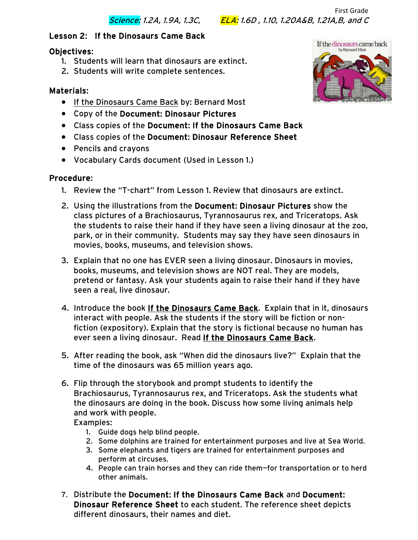First Grade Science: 1.2A, 1.9A, 1.3C, ELA: 1.6D , 1.10, 1.20A&B, 1.21A,B, and C

## Lesson 2: If the Dinosaurs Came Back

### Objectives:

- 1. Students will learn that dinosaurs are extinct.
- 2. Students will write complete sentences.

## Materials:

- If the Dinosaurs Came Back by: Bernard Most
- Copy of the Document: Dinosaur Pictures
- Class copies of the Document: If the Dinosaurs Came Back
- Class copies of the Document: Dinosaur Reference Sheet
- Pencils and crayons
- Vocabulary Cards document (Used in Lesson 1.)

#### Procedure:

- 1. Review the "T-chart" from Lesson 1. Review that dinosaurs are extinct.
- 2. Using the illustrations from the Document: Dinosaur Pictures show the class pictures of a Brachiosaurus, Tyrannosaurus rex, and Triceratops. Ask the students to raise their hand if they have seen a living dinosaur at the zoo, park, or in their community. Students may say they have seen dinosaurs in movies, books, museums, and television shows.
- 3. Explain that no one has EVER seen a living dinosaur. Dinosaurs in movies, books, museums, and television shows are NOT real. They are models, pretend or fantasy. Ask your students again to raise their hand if they have seen a real, live dinosaur.
- 4. Introduce the book If the Dinosaurs Came Back. Explain that in it, dinosaurs interact with people. Ask the students if the story will be fiction or nonfiction (expository). Explain that the story is fictional because no human has ever seen a living dinosaur. Read If the Dinosaurs Came Back.
- 5. After reading the book, ask "When did the dinosaurs live?" Explain that the time of the dinosaurs was 65 million years ago.
- 6. Flip through the storybook and prompt students to identify the Brachiosaurus, Tyrannosaurus rex, and Triceratops. Ask the students what the dinosaurs are doing in the book. Discuss how some living animals help and work with people.

Examples:

- 1. Guide dogs help blind people.
- 2. Some dolphins are trained for entertainment purposes and live at Sea World.
- 3. Some elephants and tigers are trained for entertainment purposes and perform at circuses.
- 4. People can train horses and they can ride them—for transportation or to herd other animals.
- 7. Distribute the Document: If the Dinosaurs Came Back and Document: Dinosaur Reference Sheet to each student. The reference sheet depicts different dinosaurs, their names and diet.